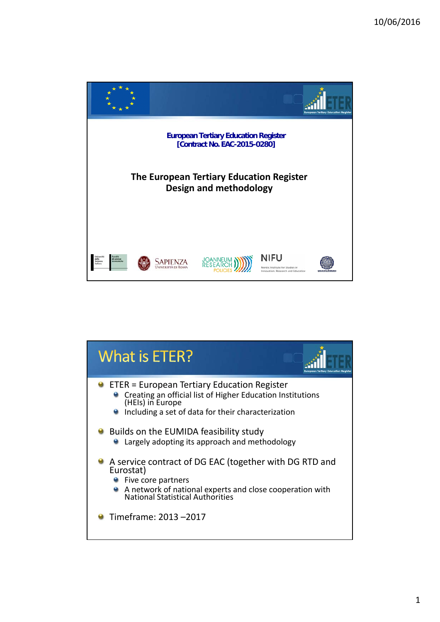

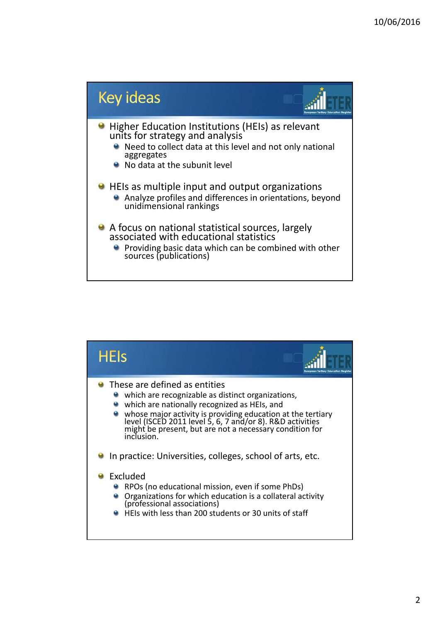

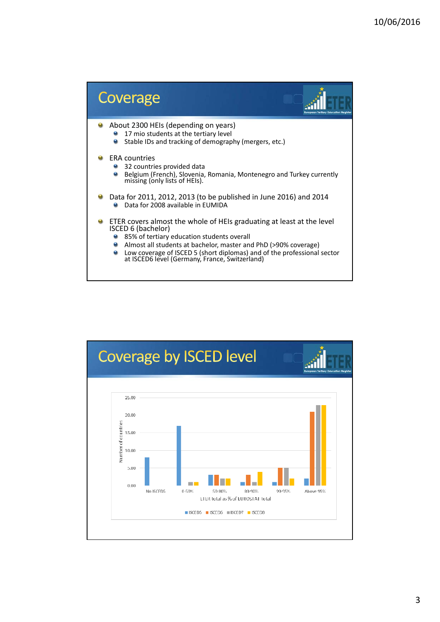

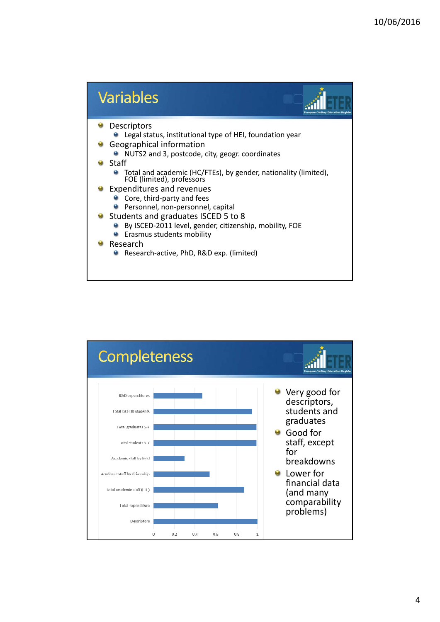

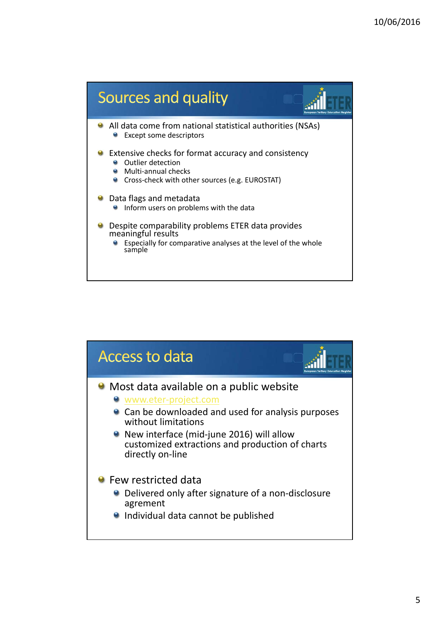

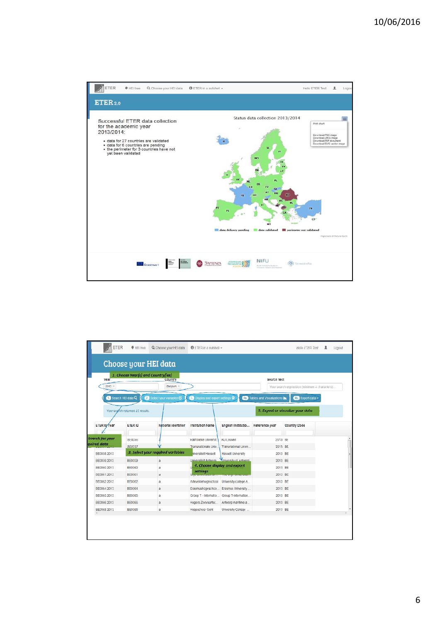

| <b>ETER</b>       | <sup>t</sup> HEI free<br>Q Choose your HEI data<br><b>OFTER in a nutshell +</b> |                                     |                                                       |                                              | <b>Hello ETER Test</b>                             |                                               | л | Logout |  |
|-------------------|---------------------------------------------------------------------------------|-------------------------------------|-------------------------------------------------------|----------------------------------------------|----------------------------------------------------|-----------------------------------------------|---|--------|--|
|                   |                                                                                 | Choose your HEI data                |                                                       |                                              |                                                    |                                               |   |        |  |
| Year              | 1. Choose Year(s) and Country(ies)                                              | Country                             | Search text                                           |                                              |                                                    |                                               |   |        |  |
| $2013 \times$     |                                                                                 | Belgium X                           |                                                       |                                              |                                                    | Your search expression (minimum 4 characters) |   |        |  |
|                   | 1 Search HEI data Q<br>м                                                        | Select your variables <sup>62</sup> | <b>3.</b> Display and export settings <b>Q</b>        |                                              | <b>14a.</b> Tables and Visualizations <sup>1</sup> | 4b. Export data -                             |   |        |  |
|                   |                                                                                 |                                     |                                                       |                                              |                                                    |                                               |   |        |  |
|                   | Your search returned 23 results.                                                |                                     |                                                       |                                              |                                                    | 5. Export or visualize your data-             |   |        |  |
|                   |                                                                                 |                                     |                                                       |                                              |                                                    |                                               |   |        |  |
| ETER ID Year      | ETER ID                                                                         | National identifier                 | Institution Name                                      | English Institutio                           | Reference year                                     | Country Code                                  |   |        |  |
| Search for your   |                                                                                 |                                     |                                                       |                                              |                                                    |                                               |   |        |  |
| auired data       | BE0058<br><b>BE0057</b>                                                         |                                     | Katholieke Universit<br>Transnationale Univ.          | X011 euven<br>Transnational Unive            | 2013 BE<br>2013 BE                                 |                                               |   |        |  |
| BE0058 2013       |                                                                                 | 3. Select your required variables   | hiversiteit Hasselt                                   | Hasself University                           | 2013 BE                                            |                                               |   |        |  |
| BE0059 2013       | BE0059                                                                          | a                                   |                                                       | Universiteit Antwern Miniversity of Antwern. | 2013 BE                                            |                                               |   |        |  |
| BE0060.2013       | <b>BE0060</b>                                                                   | a                                   |                                                       | 4. Choose display and export                 | 2013 BE                                            |                                               |   |        |  |
| BE0061 2013       | BE0061                                                                          | a                                   | settings<br><b><i><u>INSTRUMENT IN STREET</u></i></b> | <b>LE LONG DE CONSTITUEIRE DE M</b>          | 2013 BE                                            |                                               |   |        |  |
| <b>BE00622013</b> | BE0062                                                                          | a                                   | Arleveldehogeschool                                   | University college A                         | 2013 BE                                            |                                               |   |        |  |
| BE0064.2013       | <b>BE0064</b>                                                                   | $\overline{\mathbf{a}}$             | Erasmushogeschoo                                      | Erasmus University                           | 2013 BE                                            |                                               |   |        |  |
| BE0065 2013       | BE0065                                                                          | a                                   | Groep T - Internatio                                  | Group T-internation                          | 2013 BE                                            |                                               |   |        |  |
| BE00662013        | BE0066                                                                          | a                                   | Hogere Zeevaartsc                                     | Antwerp maritime a                           | 2013 BE                                            |                                               |   |        |  |
|                   | <b>BE0068</b>                                                                   | a                                   | Hogeschool Gent                                       | University College                           | 2013 BE                                            |                                               |   |        |  |